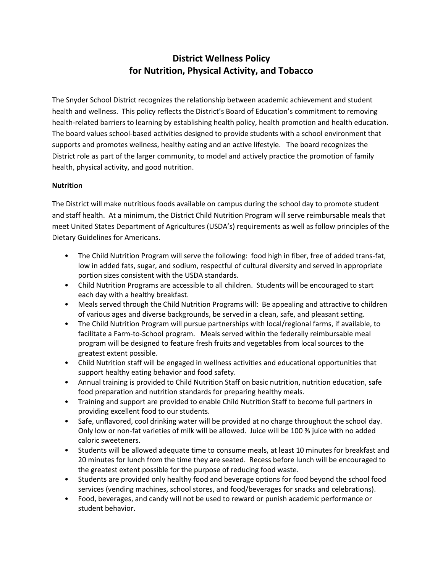# **District Wellness Policy for Nutrition, Physical Activity, and Tobacco**

The Snyder School District recognizes the relationship between academic achievement and student health and wellness. This policy reflects the District's Board of Education's commitment to removing health-related barriers to learning by establishing health policy, health promotion and health education. The board values school-based activities designed to provide students with a school environment that supports and promotes wellness, healthy eating and an active lifestyle. The board recognizes the District role as part of the larger community, to model and actively practice the promotion of family health, physical activity, and good nutrition.

## **Nutrition**

The District will make nutritious foods available on campus during the school day to promote student and staff health. At a minimum, the District Child Nutrition Program will serve reimbursable meals that meet United States Department of Agricultures (USDA's) requirements as well as follow principles of the Dietary Guidelines for Americans.

- The Child Nutrition Program will serve the following: food high in fiber, free of added trans-fat, low in added fats, sugar, and sodium, respectful of cultural diversity and served in appropriate portion sizes consistent with the USDA standards.
- Child Nutrition Programs are accessible to all children. Students will be encouraged to start each day with a healthy breakfast.
- Meals served through the Child Nutrition Programs will: Be appealing and attractive to children of various ages and diverse backgrounds, be served in a clean, safe, and pleasant setting.
- The Child Nutrition Program will pursue partnerships with local/regional farms, if available, to facilitate a Farm-to-School program. Meals served within the federally reimbursable meal program will be designed to feature fresh fruits and vegetables from local sources to the greatest extent possible.
- Child Nutrition staff will be engaged in wellness activities and educational opportunities that support healthy eating behavior and food safety.
- Annual training is provided to Child Nutrition Staff on basic nutrition, nutrition education, safe food preparation and nutrition standards for preparing healthy meals.
- Training and support are provided to enable Child Nutrition Staff to become full partners in providing excellent food to our students.
- Safe, unflavored, cool drinking water will be provided at no charge throughout the school day. Only low or non-fat varieties of milk will be allowed. Juice will be 100 % juice with no added caloric sweeteners.
- Students will be allowed adequate time to consume meals, at least 10 minutes for breakfast and 20 minutes for lunch from the time they are seated. Recess before lunch will be encouraged to the greatest extent possible for the purpose of reducing food waste.
- Students are provided only healthy food and beverage options for food beyond the school food services (vending machines, school stores, and food/beverages for snacks and celebrations).
- Food, beverages, and candy will not be used to reward or punish academic performance or student behavior.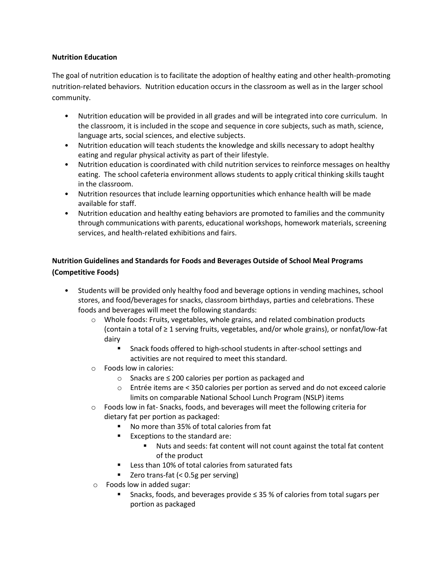## **Nutrition Education**

The goal of nutrition education is to facilitate the adoption of healthy eating and other health-promoting nutrition-related behaviors. Nutrition education occurs in the classroom as well as in the larger school community.

- Nutrition education will be provided in all grades and will be integrated into core curriculum. In the classroom, it is included in the scope and sequence in core subjects, such as math, science, language arts, social sciences, and elective subjects.
- Nutrition education will teach students the knowledge and skills necessary to adopt healthy eating and regular physical activity as part of their lifestyle.
- Nutrition education is coordinated with child nutrition services to reinforce messages on healthy eating. The school cafeteria environment allows students to apply critical thinking skills taught in the classroom.
- Nutrition resources that include learning opportunities which enhance health will be made available for staff.
- Nutrition education and healthy eating behaviors are promoted to families and the community through communications with parents, educational workshops, homework materials, screening services, and health-related exhibitions and fairs.

## **Nutrition Guidelines and Standards for Foods and Beverages Outside of School Meal Programs (Competitive Foods)**

- Students will be provided only healthy food and beverage options in vending machines, school stores, and food/beverages for snacks, classroom birthdays, parties and celebrations. These foods and beverages will meet the following standards:
	- o Whole foods: Fruits, vegetables, whole grains, and related combination products (contain a total of ≥ 1 serving fruits, vegetables, and/or whole grains), or nonfat/low-fat dairy
		- **EXECT** Snack foods offered to high-school students in after-school settings and activities are not required to meet this standard.
	- o Foods low in calories:
		- o Snacks are ≤ 200 calories per portion as packaged and
		- o Entrée items are < 350 calories per portion as served and do not exceed calorie limits on comparable National School Lunch Program (NSLP) items
	- o Foods low in fat- Snacks, foods, and beverages will meet the following criteria for dietary fat per portion as packaged:
		- No more than 35% of total calories from fat
		- Exceptions to the standard are:
			- Nuts and seeds: fat content will not count against the total fat content of the product
		- **Less than 10% of total calories from saturated fats**
		- Zero trans-fat (< 0.5g per serving)
	- o Foods low in added sugar:
		- Snacks, foods, and beverages provide ≤ 35 % of calories from total sugars per portion as packaged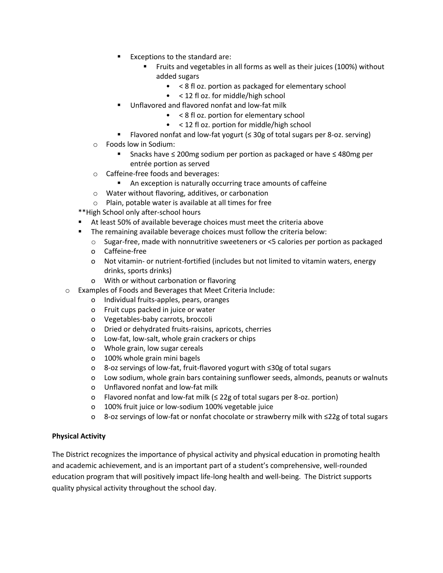- Exceptions to the standard are:
	- Fruits and vegetables in all forms as well as their juices (100%) without added sugars
		- < 8 fl oz. portion as packaged for elementary school
		- < 12 fl oz. for middle/high school
- Unflavored and flavored nonfat and low-fat milk
	- < 8 fl oz. portion for elementary school
	- < 12 fl oz. portion for middle/high school
- Flavored nonfat and low-fat yogurt (≤ 30g of total sugars per 8-oz. serving)
- o Foods low in Sodium:
	- Snacks have ≤ 200mg sodium per portion as packaged or have ≤ 480mg per entrée portion as served
- o Caffeine-free foods and beverages:
	- An exception is naturally occurring trace amounts of caffeine
- o Water without flavoring, additives, or carbonation
- o Plain, potable water is available at all times for free
- \*\*High School only after-school hours
- At least 50% of available beverage choices must meet the criteria above
- **The remaining available beverage choices must follow the criteria below:** 
	- o Sugar-free, made with nonnutritive sweeteners or <5 calories per portion as packaged
	- o Caffeine-free
	- o Not vitamin- or nutrient-fortified (includes but not limited to vitamin waters, energy drinks, sports drinks)
	- o With or without carbonation or flavoring
- o Examples of Foods and Beverages that Meet Criteria Include:
	- o Individual fruits-apples, pears, oranges
	- o Fruit cups packed in juice or water
	- o Vegetables-baby carrots, broccoli
	- o Dried or dehydrated fruits-raisins, apricots, cherries
	- o Low-fat, low-salt, whole grain crackers or chips
	- o Whole grain, low sugar cereals
	- o 100% whole grain mini bagels
	- o 8-oz servings of low-fat, fruit-flavored yogurt with ≤30g of total sugars
	- o Low sodium, whole grain bars containing sunflower seeds, almonds, peanuts or walnuts
	- o Unflavored nonfat and low-fat milk
	- o Flavored nonfat and low-fat milk (≤ 22g of total sugars per 8-oz. portion)
	- o 100% fruit juice or low-sodium 100% vegetable juice
	- o 8-oz servings of low-fat or nonfat chocolate or strawberry milk with ≤22g of total sugars

#### **Physical Activity**

The District recognizes the importance of physical activity and physical education in promoting health and academic achievement, and is an important part of a student's comprehensive, well-rounded education program that will positively impact life-long health and well-being. The District supports quality physical activity throughout the school day.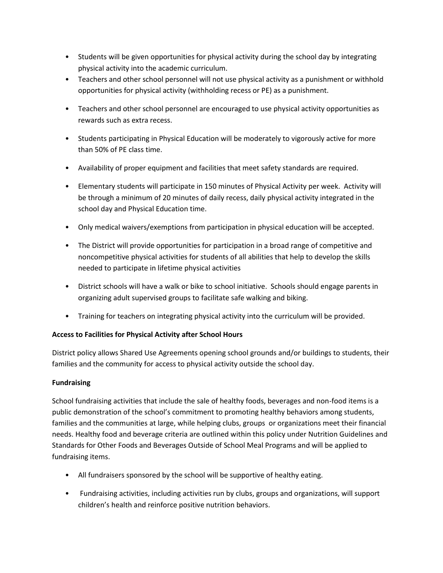- Students will be given opportunities for physical activity during the school day by integrating physical activity into the academic curriculum.
- Teachers and other school personnel will not use physical activity as a punishment or withhold opportunities for physical activity (withholding recess or PE) as a punishment.
- Teachers and other school personnel are encouraged to use physical activity opportunities as rewards such as extra recess.
- Students participating in Physical Education will be moderately to vigorously active for more than 50% of PE class time.
- Availability of proper equipment and facilities that meet safety standards are required.
- Elementary students will participate in 150 minutes of Physical Activity per week. Activity will be through a minimum of 20 minutes of daily recess, daily physical activity integrated in the school day and Physical Education time.
- Only medical waivers/exemptions from participation in physical education will be accepted.
- The District will provide opportunities for participation in a broad range of competitive and noncompetitive physical activities for students of all abilities that help to develop the skills needed to participate in lifetime physical activities
- District schools will have a walk or bike to school initiative. Schools should engage parents in organizing adult supervised groups to facilitate safe walking and biking.
- Training for teachers on integrating physical activity into the curriculum will be provided.

## **Access to Facilities for Physical Activity after School Hours**

District policy allows Shared Use Agreements opening school grounds and/or buildings to students, their families and the community for access to physical activity outside the school day.

## **Fundraising**

School fundraising activities that include the sale of healthy foods, beverages and non-food items is a public demonstration of the school's commitment to promoting healthy behaviors among students, families and the communities at large, while helping clubs, groups or organizations meet their financial needs. Healthy food and beverage criteria are outlined within this policy under Nutrition Guidelines and Standards for Other Foods and Beverages Outside of School Meal Programs and will be applied to fundraising items.

- All fundraisers sponsored by the school will be supportive of healthy eating.
- Fundraising activities, including activities run by clubs, groups and organizations, will support children's health and reinforce positive nutrition behaviors.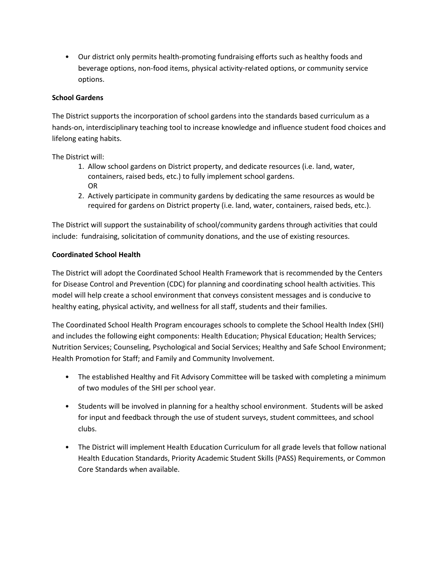• Our district only permits health-promoting fundraising efforts such as healthy foods and beverage options, non-food items, physical activity-related options, or community service options.

## **School Gardens**

The District supports the incorporation of school gardens into the standards based curriculum as a hands-on, interdisciplinary teaching tool to increase knowledge and influence student food choices and lifelong eating habits.

The District will:

- 1. Allow school gardens on District property, and dedicate resources (i.e. land, water, containers, raised beds, etc.) to fully implement school gardens. OR
- 2. Actively participate in community gardens by dedicating the same resources as would be required for gardens on District property (i.e. land, water, containers, raised beds, etc.).

The District will support the sustainability of school/community gardens through activities that could include: fundraising, solicitation of community donations, and the use of existing resources.

## **Coordinated School Health**

The District will adopt the Coordinated School Health Framework that is recommended by the Centers for Disease Control and Prevention (CDC) for planning and coordinating school health activities. This model will help create a school environment that conveys consistent messages and is conducive to healthy eating, physical activity, and wellness for all staff, students and their families.

The Coordinated School Health Program encourages schools to complete the School Health Index (SHI) and includes the following eight components: Health Education; Physical Education; Health Services; Nutrition Services; Counseling, Psychological and Social Services; Healthy and Safe School Environment; Health Promotion for Staff; and Family and Community Involvement.

- The established Healthy and Fit Advisory Committee will be tasked with completing a minimum of two modules of the SHI per school year.
- Students will be involved in planning for a healthy school environment. Students will be asked for input and feedback through the use of student surveys, student committees, and school clubs.
- The District will implement Health Education Curriculum for all grade levels that follow national Health Education Standards, Priority Academic Student Skills (PASS) Requirements, or Common Core Standards when available.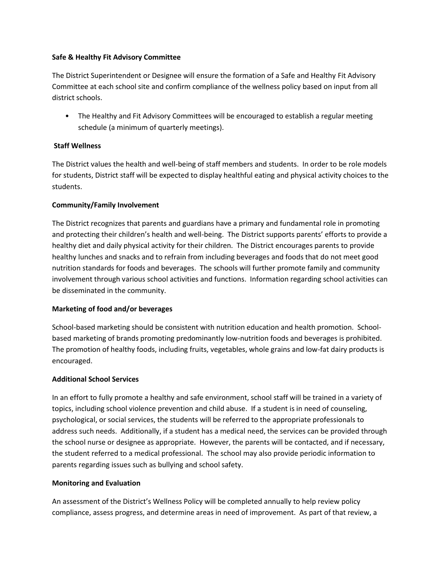#### **Safe & Healthy Fit Advisory Committee**

The District Superintendent or Designee will ensure the formation of a Safe and Healthy Fit Advisory Committee at each school site and confirm compliance of the wellness policy based on input from all district schools.

• The Healthy and Fit Advisory Committees will be encouraged to establish a regular meeting schedule (a minimum of quarterly meetings).

## **Staff Wellness**

The District values the health and well-being of staff members and students. In order to be role models for students, District staff will be expected to display healthful eating and physical activity choices to the students.

## **Community/Family Involvement**

The District recognizes that parents and guardians have a primary and fundamental role in promoting and protecting their children's health and well-being. The District supports parents' efforts to provide a healthy diet and daily physical activity for their children. The District encourages parents to provide healthy lunches and snacks and to refrain from including beverages and foods that do not meet good nutrition standards for foods and beverages. The schools will further promote family and community involvement through various school activities and functions. Information regarding school activities can be disseminated in the community.

## **Marketing of food and/or beverages**

School-based marketing should be consistent with nutrition education and health promotion. Schoolbased marketing of brands promoting predominantly low-nutrition foods and beverages is prohibited. The promotion of healthy foods, including fruits, vegetables, whole grains and low-fat dairy products is encouraged.

## **Additional School Services**

In an effort to fully promote a healthy and safe environment, school staff will be trained in a variety of topics, including school violence prevention and child abuse. If a student is in need of counseling, psychological, or social services, the students will be referred to the appropriate professionals to address such needs. Additionally, if a student has a medical need, the services can be provided through the school nurse or designee as appropriate. However, the parents will be contacted, and if necessary, the student referred to a medical professional. The school may also provide periodic information to parents regarding issues such as bullying and school safety.

#### **Monitoring and Evaluation**

An assessment of the District's Wellness Policy will be completed annually to help review policy compliance, assess progress, and determine areas in need of improvement. As part of that review, a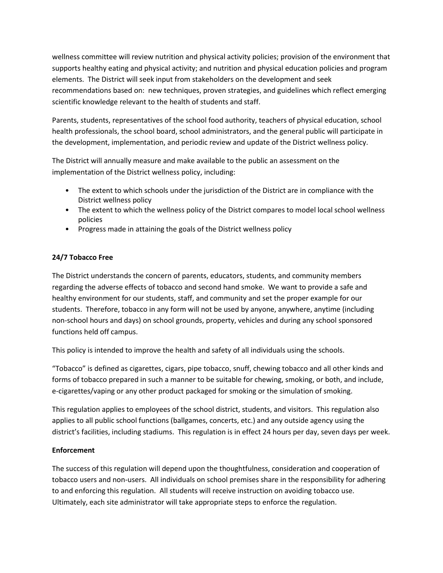wellness committee will review nutrition and physical activity policies; provision of the environment that supports healthy eating and physical activity; and nutrition and physical education policies and program elements. The District will seek input from stakeholders on the development and seek recommendations based on: new techniques, proven strategies, and guidelines which reflect emerging scientific knowledge relevant to the health of students and staff.

Parents, students, representatives of the school food authority, teachers of physical education, school health professionals, the school board, school administrators, and the general public will participate in the development, implementation, and periodic review and update of the District wellness policy.

The District will annually measure and make available to the public an assessment on the implementation of the District wellness policy, including:

- The extent to which schools under the jurisdiction of the District are in compliance with the District wellness policy
- The extent to which the wellness policy of the District compares to model local school wellness policies
- Progress made in attaining the goals of the District wellness policy

## **24/7 Tobacco Free**

The District understands the concern of parents, educators, students, and community members regarding the adverse effects of tobacco and second hand smoke. We want to provide a safe and healthy environment for our students, staff, and community and set the proper example for our students. Therefore, tobacco in any form will not be used by anyone, anywhere, anytime (including non-school hours and days) on school grounds, property, vehicles and during any school sponsored functions held off campus.

This policy is intended to improve the health and safety of all individuals using the schools.

"Tobacco" is defined as cigarettes, cigars, pipe tobacco, snuff, chewing tobacco and all other kinds and forms of tobacco prepared in such a manner to be suitable for chewing, smoking, or both, and include, e-cigarettes/vaping or any other product packaged for smoking or the simulation of smoking.

This regulation applies to employees of the school district, students, and visitors. This regulation also applies to all public school functions (ballgames, concerts, etc.) and any outside agency using the district's facilities, including stadiums. This regulation is in effect 24 hours per day, seven days per week.

## **Enforcement**

The success of this regulation will depend upon the thoughtfulness, consideration and cooperation of tobacco users and non-users. All individuals on school premises share in the responsibility for adhering to and enforcing this regulation. All students will receive instruction on avoiding tobacco use. Ultimately, each site administrator will take appropriate steps to enforce the regulation.